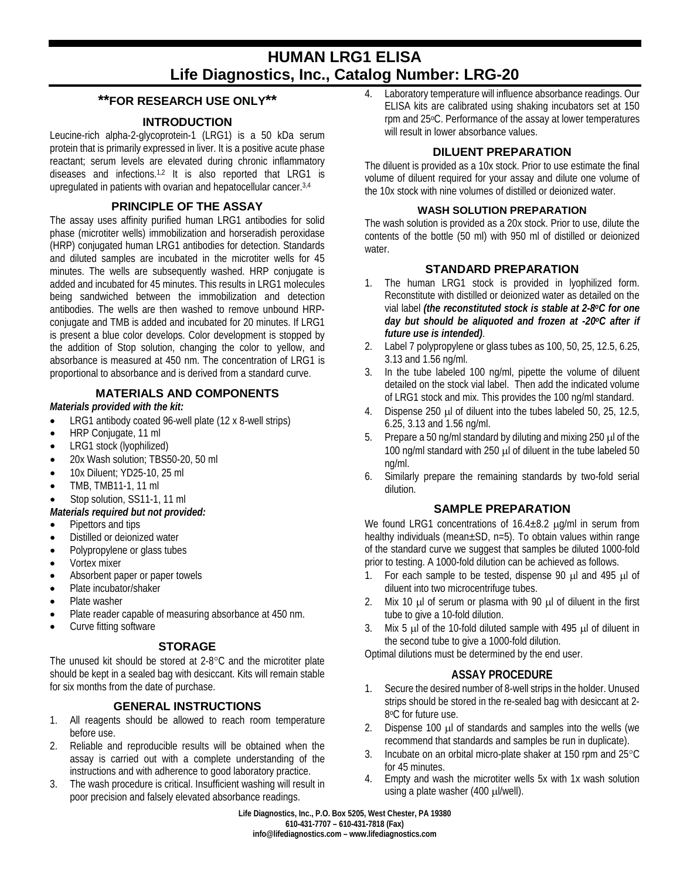# **HUMAN LRG1 ELISA Life Diagnostics, Inc., Catalog Number: LRG-20**

# **\*\*FOR RESEARCH USE ONLY\*\***

## **INTRODUCTION**

Leucine-rich alpha-2-glycoprotein-1 (LRG1) is a 50 kDa serum protein that is primarily expressed in liver. It is a positive acute phase reactant; serum levels are elevated during chronic inflammatory diseases and infections.1,2 It is also reported that LRG1 is upregulated in patients with ovarian and hepatocellular cancer.3,4

## **PRINCIPLE OF THE ASSAY**

The assay uses affinity purified human LRG1 antibodies for solid phase (microtiter wells) immobilization and horseradish peroxidase (HRP) conjugated human LRG1 antibodies for detection. Standards and diluted samples are incubated in the microtiter wells for 45 minutes. The wells are subsequently washed. HRP conjugate is added and incubated for 45 minutes. This results in LRG1 molecules being sandwiched between the immobilization and detection antibodies. The wells are then washed to remove unbound HRPconjugate and TMB is added and incubated for 20 minutes. If LRG1 is present a blue color develops. Color development is stopped by the addition of Stop solution, changing the color to yellow, and absorbance is measured at 450 nm. The concentration of LRG1 is proportional to absorbance and is derived from a standard curve.

## **MATERIALS AND COMPONENTS**

#### *Materials provided with the kit:*

- LRG1 antibody coated 96-well plate (12 x 8-well strips)
- HRP Conjugate, 11 ml
- LRG1 stock (lyophilized)
- 20x Wash solution; TBS50-20, 50 ml
- 10x Diluent: YD25-10, 25 ml
- TMB, TMB11-1, 11 ml
- Stop solution, SS11-1, 11 ml

## *Materials required but not provided:*

- Pipettors and tips
- Distilled or deionized water
- Polypropylene or glass tubes
- Vortex mixer
- Absorbent paper or paper towels
- Plate incubator/shaker
- Plate washer
- Plate reader capable of measuring absorbance at 450 nm.
- Curve fitting software

# **STORAGE**

The unused kit should be stored at 2-8°C and the microtiter plate should be kept in a sealed bag with desiccant. Kits will remain stable for six months from the date of purchase.

## **GENERAL INSTRUCTIONS**

- 1. All reagents should be allowed to reach room temperature before use.
- 2. Reliable and reproducible results will be obtained when the assay is carried out with a complete understanding of the instructions and with adherence to good laboratory practice.
- 3. The wash procedure is critical. Insufficient washing will result in poor precision and falsely elevated absorbance readings.

4. Laboratory temperature will influence absorbance readings. Our ELISA kits are calibrated using shaking incubators set at 150 rpm and 25oC. Performance of the assay at lower temperatures will result in lower absorbance values.

## **DILUENT PREPARATION**

The diluent is provided as a 10x stock. Prior to use estimate the final volume of diluent required for your assay and dilute one volume of the 10x stock with nine volumes of distilled or deionized water.

#### **WASH SOLUTION PREPARATION**

The wash solution is provided as a 20x stock. Prior to use, dilute the contents of the bottle (50 ml) with 950 ml of distilled or deionized water.

## **STANDARD PREPARATION**

- 1. The human LRG1 stock is provided in lyophilized form. Reconstitute with distilled or deionized water as detailed on the vial label *(the reconstituted stock is stable at 2-8oC for one day but should be aliquoted and frozen at -20oC after if future use is intended)*.
- 2. Label 7 polypropylene or glass tubes as 100, 50, 25, 12.5, 6.25, 3.13 and 1.56 ng/ml.
- 3. In the tube labeled 100 ng/ml, pipette the volume of diluent detailed on the stock vial label. Then add the indicated volume of LRG1 stock and mix. This provides the 100 ng/ml standard.
- 4. Dispense 250 µl of diluent into the tubes labeled 50, 25, 12.5, 6.25, 3.13 and 1.56 ng/ml.
- 5. Prepare a 50 ng/ml standard by diluting and mixing 250  $\mu$ l of the 100 ng/ml standard with 250 µl of diluent in the tube labeled 50 ng/ml.
- 6. Similarly prepare the remaining standards by two-fold serial dilution.

## **SAMPLE PREPARATION**

We found LRG1 concentrations of  $16.4 \pm 8.2$   $\mu$ g/ml in serum from healthy individuals (mean±SD, n=5). To obtain values within range of the standard curve we suggest that samples be diluted 1000-fold prior to testing. A 1000-fold dilution can be achieved as follows.

- 1. For each sample to be tested, dispense 90 ul and 495 ul of diluent into two microcentrifuge tubes.
- 2. Mix 10  $\mu$  of serum or plasma with 90  $\mu$  of diluent in the first tube to give a 10-fold dilution.
- 3. Mix 5  $\mu$  of the 10-fold diluted sample with 495  $\mu$  of diluent in the second tube to give a 1000-fold dilution.

Optimal dilutions must be determined by the end user.

# **ASSAY PROCEDURE**

- 1. Secure the desired number of 8-well strips in the holder. Unused strips should be stored in the re-sealed bag with desiccant at 2- 8°C for future use.
- 2. Dispense 100 µl of standards and samples into the wells (we recommend that standards and samples be run in duplicate).
- 3. Incubate on an orbital micro-plate shaker at 150 rpm and 25°C for 45 minutes.
- 4. Empty and wash the microtiter wells 5x with 1x wash solution using a plate washer (400 µl/well).

**Life Diagnostics, Inc., P.O. Box 5205, West Chester, PA 19380 610-431-7707 – 610-431-7818 (Fax) info@lifediagnostics.com – www.lifediagnostics.com**